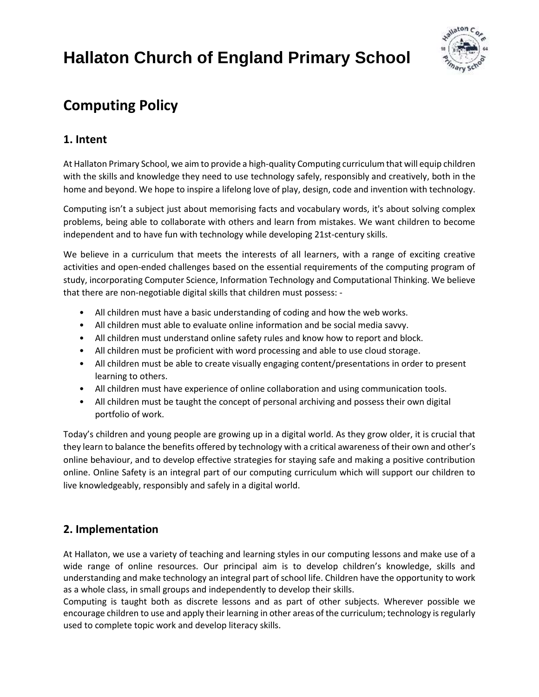

## **Computing Policy**

## **1. Intent**

At Hallaton Primary School, we aim to provide a high-quality Computing curriculum that will equip children with the skills and knowledge they need to use technology safely, responsibly and creatively, both in the home and beyond. We hope to inspire a lifelong love of play, design, code and invention with technology.

Computing isn't a subject just about memorising facts and vocabulary words, it's about solving complex problems, being able to collaborate with others and learn from mistakes. We want children to become independent and to have fun with technology while developing 21st-century skills.

We believe in a curriculum that meets the interests of all learners, with a range of exciting creative activities and open-ended challenges based on the essential requirements of the computing program of study, incorporating Computer Science, Information Technology and Computational Thinking. We believe that there are non-negotiable digital skills that children must possess: -

- All children must have a basic understanding of coding and how the web works.
- All children must able to evaluate online information and be social media savvy.
- All children must understand online safety rules and know how to report and block.
- All children must be proficient with word processing and able to use cloud storage.
- All children must be able to create visually engaging content/presentations in order to present learning to others.
- All children must have experience of online collaboration and using communication tools.
- All children must be taught the concept of personal archiving and possess their own digital portfolio of work.

Today's children and young people are growing up in a digital world. As they grow older, it is crucial that they learn to balance the benefits offered by technology with a critical awareness of their own and other's online behaviour, and to develop effective strategies for staying safe and making a positive contribution online. Online Safety is an integral part of our computing curriculum which will support our children to live knowledgeably, responsibly and safely in a digital world.

## **2. Implementation**

At Hallaton, we use a variety of teaching and learning styles in our computing lessons and make use of a wide range of online resources. Our principal aim is to develop children's knowledge, skills and understanding and make technology an integral part of school life. Children have the opportunity to work as a whole class, in small groups and independently to develop their skills.

Computing is taught both as discrete lessons and as part of other subjects. Wherever possible we encourage children to use and apply their learning in other areas of the curriculum; technology is regularly used to complete topic work and develop literacy skills.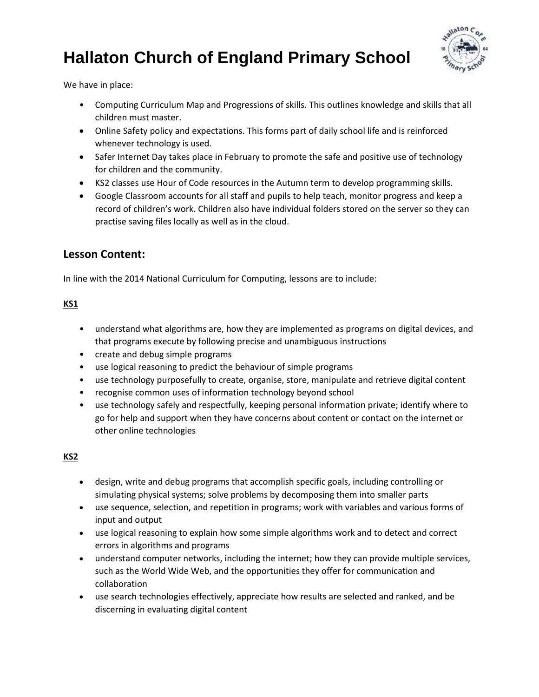

We have in place:

- Computing Curriculum Map and Progressions of skills. This outlines knowledge and skills that all children must master.
- Online Safety policy and expectations. This forms part of daily school life and is reinforced whenever technology is used.
- Safer Internet Day takes place in February to promote the safe and positive use of technology for children and the community.
- KS2 classes use Hour of Code resources in the Autumn term to develop programming skills.
- Google Classroom accounts for all staff and pupils to help teach, monitor progress and keep a record of children's work. Children also have individual folders stored on the server so they can practise saving files locally as well as in the cloud.

### **Lesson Content:**

In line with the 2014 National Curriculum for Computing, lessons are to include:

#### **KS1**

- understand what algorithms are, how they are implemented as programs on digital devices, and that programs execute by following precise and unambiguous instructions
- create and debug simple programs
- use logical reasoning to predict the behaviour of simple programs
- use technology purposefully to create, organise, store, manipulate and retrieve digital content
- recognise common uses of information technology beyond school
- use technology safely and respectfully, keeping personal information private; identify where to go for help and support when they have concerns about content or contact on the internet or other online technologies

#### **KS2**

- design, write and debug programs that accomplish specific goals, including controlling or simulating physical systems; solve problems by decomposing them into smaller parts
- use sequence, selection, and repetition in programs; work with variables and various forms of input and output
- use logical reasoning to explain how some simple algorithms work and to detect and correct errors in algorithms and programs
- understand computer networks, including the internet; how they can provide multiple services, such as the World Wide Web, and the opportunities they offer for communication and collaboration
- use search technologies effectively, appreciate how results are selected and ranked, and be discerning in evaluating digital content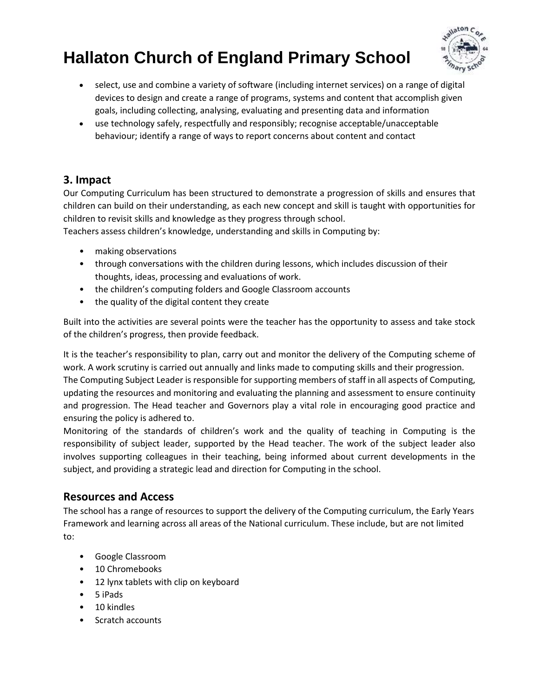

- select, use and combine a variety of software (including internet services) on a range of digital devices to design and create a range of programs, systems and content that accomplish given goals, including collecting, analysing, evaluating and presenting data and information
- use technology safely, respectfully and responsibly; recognise acceptable/unacceptable behaviour; identify a range of ways to report concerns about content and contact

## **3. Impact**

Our Computing Curriculum has been structured to demonstrate a progression of skills and ensures that children can build on their understanding, as each new concept and skill is taught with opportunities for children to revisit skills and knowledge as they progress through school.

Teachers assess children's knowledge, understanding and skills in Computing by:

- making observations
- through conversations with the children during lessons, which includes discussion of their thoughts, ideas, processing and evaluations of work.
- the children's computing folders and Google Classroom accounts
- the quality of the digital content they create

Built into the activities are several points were the teacher has the opportunity to assess and take stock of the children's progress, then provide feedback.

It is the teacher's responsibility to plan, carry out and monitor the delivery of the Computing scheme of work. A work scrutiny is carried out annually and links made to computing skills and their progression. The Computing Subject Leader is responsible for supporting members of staff in all aspects of Computing, updating the resources and monitoring and evaluating the planning and assessment to ensure continuity and progression. The Head teacher and Governors play a vital role in encouraging good practice and ensuring the policy is adhered to.

Monitoring of the standards of children's work and the quality of teaching in Computing is the responsibility of subject leader, supported by the Head teacher. The work of the subject leader also involves supporting colleagues in their teaching, being informed about current developments in the subject, and providing a strategic lead and direction for Computing in the school.

### **Resources and Access**

The school has a range of resources to support the delivery of the Computing curriculum, the Early Years Framework and learning across all areas of the National curriculum. These include, but are not limited to:

- Google Classroom
- 10 Chromebooks
- 12 lynx tablets with clip on keyboard
- 5 iPads
- 10 kindles
- Scratch accounts